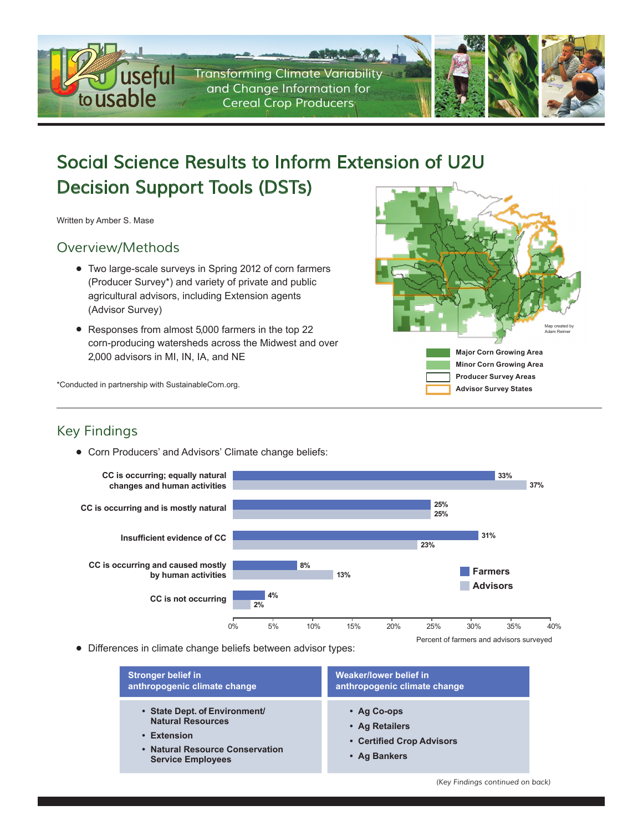

# *Social Science Results to Inform Extension of U2U Decision Support Tools (DSTs)*

Written by Amber S. Mase

### *Overview/Methods*

- Two large-scale surveys in Spring 2012 of corn farmers (Producer Survey\*) and variety of private and public agricultural advisors, including Extension agents (Advisor Survey)
- Responses from almost 5,000 farmers in the top 22 corn-producing watersheds across the Midwest and over 2,000 advisors in MI, IN, IA, and NE



\*Conducted in partnership with SustainableCorn.org.

### *Key Findings*

• Corn Producers' and Advisors' Climate change beliefs:



• Differences in climate change beliefs between advisor types:

| <b>Stronger belief in</b>                                                                                                               | Weaker/lower belief in                                                           |
|-----------------------------------------------------------------------------------------------------------------------------------------|----------------------------------------------------------------------------------|
| anthropogenic climate change                                                                                                            | anthropogenic climate change                                                     |
| • State Dept. of Environment/<br><b>Natural Resources</b><br>• Extension<br>• Natural Resource Conservation<br><b>Service Employees</b> | $\cdot$ Ag Co-ops<br>• Ag Retailers<br>• Certified Crop Advisors<br>• Ag Bankers |

*(Key Findings continued on back)*